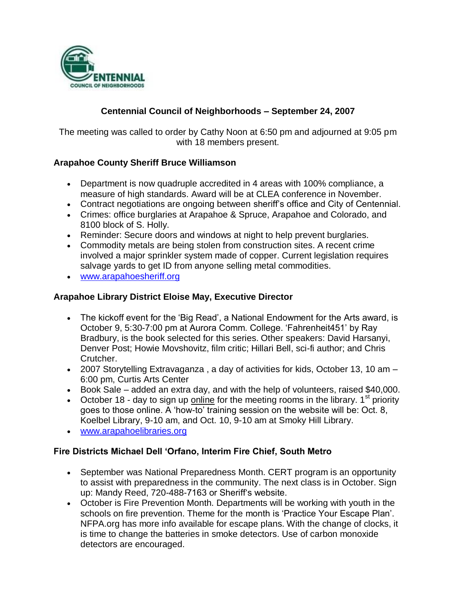

## **Centennial Council of Neighborhoods – September 24, 2007**

The meeting was called to order by Cathy Noon at 6:50 pm and adjourned at 9:05 pm with 18 members present.

## **Arapahoe County Sheriff Bruce Williamson**

- Department is now quadruple accredited in 4 areas with 100% compliance, a measure of high standards. Award will be at CLEA conference in November.
- Contract negotiations are ongoing between sheriff's office and City of Centennial.
- Crimes: office burglaries at Arapahoe & Spruce, Arapahoe and Colorado, and 8100 block of S. Holly.
- Reminder: Secure doors and windows at night to help prevent burglaries.
- Commodity metals are being stolen from construction sites. A recent crime involved a major sprinkler system made of copper. Current legislation requires salvage yards to get ID from anyone selling metal commodities.
- [www.arapahoesheriff.org](http://www.arapahoesheriff.org/)

### **Arapahoe Library District Eloise May, Executive Director**

- The kickoff event for the 'Big Read', a National Endowment for the Arts award, is October 9, 5:30-7:00 pm at Aurora Comm. College. 'Fahrenheit451' by Ray Bradbury, is the book selected for this series. Other speakers: David Harsanyi, Denver Post; Howie Movshovitz, film critic; Hillari Bell, sci-fi author; and Chris Crutcher.
- 2007 Storytelling Extravaganza , a day of activities for kids, October 13, 10 am 6:00 pm, Curtis Arts Center
- Book Sale added an extra day, and with the help of volunteers, raised \$40,000.
- October 18 day to sign up online for the meeting rooms in the library.  $1<sup>st</sup>$  priority goes to those online. A 'how-to' training session on the website will be: Oct. 8, Koelbel Library, 9-10 am, and Oct. 10, 9-10 am at Smoky Hill Library.
- [www.arapahoelibraries.org](http://www.arapahoelibraries.org/)

#### **Fire Districts Michael Dell 'Orfano, Interim Fire Chief, South Metro**

- September was National Preparedness Month. CERT program is an opportunity to assist with preparedness in the community. The next class is in October. Sign up: Mandy Reed, 720-488-7163 or Sheriff's website.
- October is Fire Prevention Month. Departments will be working with youth in the schools on fire prevention. Theme for the month is 'Practice Your Escape Plan'. NFPA.org has more info available for escape plans. With the change of clocks, it is time to change the batteries in smoke detectors. Use of carbon monoxide detectors are encouraged.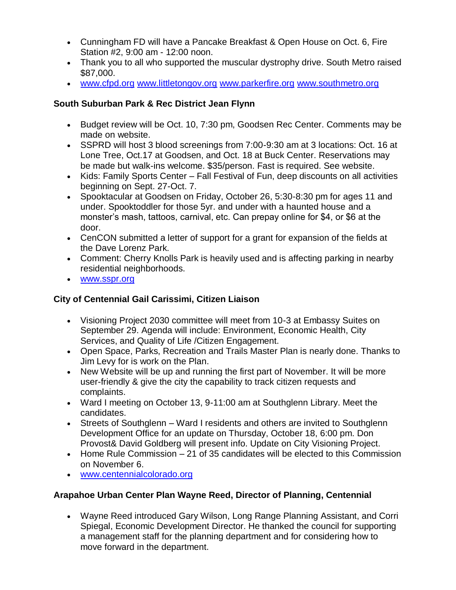- Cunningham FD will have a Pancake Breakfast & Open House on Oct. 6, Fire Station #2, 9:00 am - 12:00 noon.
- Thank you to all who supported the muscular dystrophy drive. South Metro raised \$87,000.
- [www.cfpd.org](http://www.cfpd.org/) [www.littletongov.org](http://www.littletongov.org/) [www.parkerfire.org](http://www.parkerfire.org/) [www.southmetro.org](http://www.southmetro.org/)

## **South Suburban Park & Rec District Jean Flynn**

- Budget review will be Oct. 10, 7:30 pm, Goodsen Rec Center. Comments may be made on website.
- SSPRD will host 3 blood screenings from 7:00-9:30 am at 3 locations: Oct. 16 at Lone Tree, Oct.17 at Goodsen, and Oct. 18 at Buck Center. Reservations may be made but walk-ins welcome. \$35/person. Fast is required. See website.
- Kids: Family Sports Center Fall Festival of Fun, deep discounts on all activities beginning on Sept. 27-Oct. 7.
- Spooktacular at Goodsen on Friday, October 26, 5:30-8:30 pm for ages 11 and under. Spooktoddler for those 5yr. and under with a haunted house and a monster's mash, tattoos, carnival, etc. Can prepay online for \$4, or \$6 at the door.
- CenCON submitted a letter of support for a grant for expansion of the fields at the Dave Lorenz Park.
- Comment: Cherry Knolls Park is heavily used and is affecting parking in nearby residential neighborhoods.
- [www.sspr.org](http://www.sspr.org/)

# **City of Centennial Gail Carissimi, Citizen Liaison**

- Visioning Project 2030 committee will meet from 10-3 at Embassy Suites on September 29. Agenda will include: Environment, Economic Health, City Services, and Quality of Life /Citizen Engagement.
- Open Space, Parks, Recreation and Trails Master Plan is nearly done. Thanks to Jim Levy for is work on the Plan.
- New Website will be up and running the first part of November. It will be more user-friendly & give the city the capability to track citizen requests and complaints.
- Ward I meeting on October 13, 9-11:00 am at Southglenn Library. Meet the candidates.
- Streets of Southglenn Ward I residents and others are invited to Southglenn Development Office for an update on Thursday, October 18, 6:00 pm. Don Provost& David Goldberg will present info. Update on City Visioning Project.
- Home Rule Commission 21 of 35 candidates will be elected to this Commission on November 6.
- [www.centennialcolorado.org](http://www.centennialcolorado.org/)

# **Arapahoe Urban Center Plan Wayne Reed, Director of Planning, Centennial**

 Wayne Reed introduced Gary Wilson, Long Range Planning Assistant, and Corri Spiegal, Economic Development Director. He thanked the council for supporting a management staff for the planning department and for considering how to move forward in the department.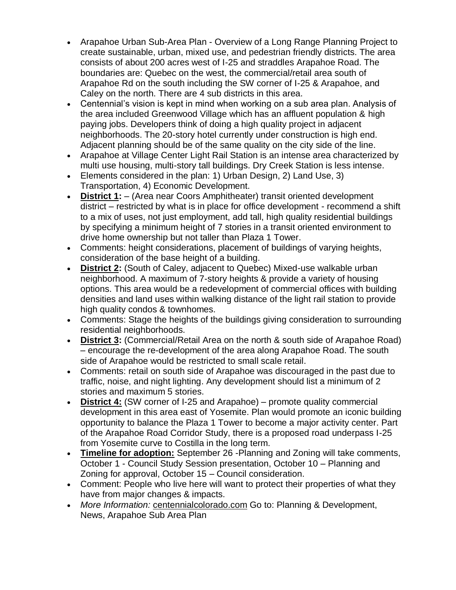- Arapahoe Urban Sub-Area Plan Overview of a Long Range Planning Project to create sustainable, urban, mixed use, and pedestrian friendly districts. The area consists of about 200 acres west of I-25 and straddles Arapahoe Road. The boundaries are: Quebec on the west, the commercial/retail area south of Arapahoe Rd on the south including the SW corner of I-25 & Arapahoe, and Caley on the north. There are 4 sub districts in this area.
- Centennial's vision is kept in mind when working on a sub area plan. Analysis of the area included Greenwood Village which has an affluent population & high paying jobs. Developers think of doing a high quality project in adjacent neighborhoods. The 20-story hotel currently under construction is high end. Adjacent planning should be of the same quality on the city side of the line.
- Arapahoe at Village Center Light Rail Station is an intense area characterized by multi use housing, multi-story tall buildings. Dry Creek Station is less intense.
- Elements considered in the plan: 1) Urban Design, 2) Land Use, 3) Transportation, 4) Economic Development.
- **District 1:** (Area near Coors Amphitheater) transit oriented development district – restricted by what is in place for office development - recommend a shift to a mix of uses, not just employment, add tall, high quality residential buildings by specifying a minimum height of 7 stories in a transit oriented environment to drive home ownership but not taller than Plaza 1 Tower.
- Comments: height considerations, placement of buildings of varying heights, consideration of the base height of a building.
- **District 2:** (South of Caley, adjacent to Quebec) Mixed-use walkable urban neighborhood. A maximum of 7-story heights & provide a variety of housing options. This area would be a redevelopment of commercial offices with building densities and land uses within walking distance of the light rail station to provide high quality condos & townhomes.
- Comments: Stage the heights of the buildings giving consideration to surrounding residential neighborhoods.
- **District 3:** (Commercial/Retail Area on the north & south side of Arapahoe Road) – encourage the re-development of the area along Arapahoe Road. The south side of Arapahoe would be restricted to small scale retail.
- Comments: retail on south side of Arapahoe was discouraged in the past due to traffic, noise, and night lighting. Any development should list a minimum of 2 stories and maximum 5 stories.
- **District 4:** (SW corner of I-25 and Arapahoe) promote quality commercial development in this area east of Yosemite. Plan would promote an iconic building opportunity to balance the Plaza 1 Tower to become a major activity center. Part of the Arapahoe Road Corridor Study, there is a proposed road underpass I-25 from Yosemite curve to Costilla in the long term.
- **Timeline for adoption:** September 26 -Planning and Zoning will take comments, October 1 - Council Study Session presentation, October 10 – Planning and Zoning for approval, October 15 – Council consideration.
- Comment: People who live here will want to protect their properties of what they have from major changes & impacts.
- *More Information:* centennialcolorado.com Go to: Planning & Development, News, Arapahoe Sub Area Plan